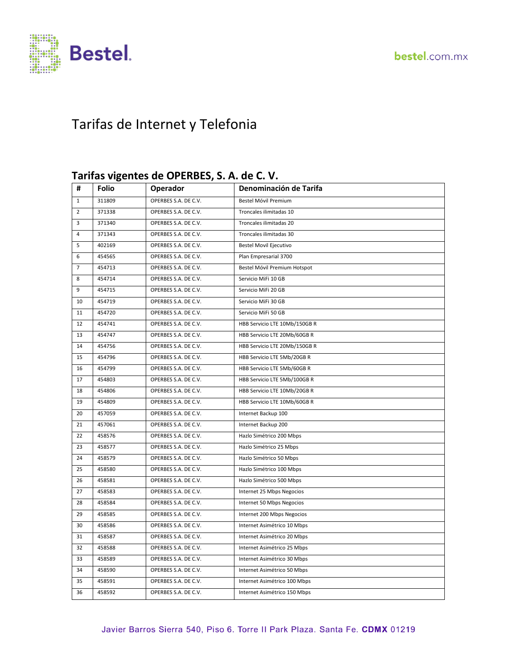

# Tarifas de Internet y Telefonia

#### **Tarifas vigentes de OPERBES, S. A. de C. V.**

| #              | <b>Folio</b> | Operador             | Denominación de Tarifa        |
|----------------|--------------|----------------------|-------------------------------|
| $\mathbf{1}$   | 311809       | OPERBES S.A. DE C.V. | Bestel Móvil Premium          |
| $\overline{2}$ | 371338       | OPERBES S.A. DE C.V. | Troncales ilimitadas 10       |
| 3              | 371340       | OPERBES S.A. DE C.V. | Troncales ilimitadas 20       |
| $\sqrt{4}$     | 371343       | OPERBES S.A. DE C.V. | Troncales ilimitadas 30       |
| 5              | 402169       | OPERBES S.A. DE C.V. | <b>Bestel Movil Ejecutivo</b> |
| 6              | 454565       | OPERBES S.A. DE C.V. | Plan Empresarial 3700         |
| $\overline{7}$ | 454713       | OPERBES S.A. DE C.V. | Bestel Móvil Premium Hotspot  |
| 8              | 454714       | OPERBES S.A. DE C.V. | Servicio MiFi 10 GB           |
| 9              | 454715       | OPERBES S.A. DE C.V. | Servicio MiFi 20 GB           |
| 10             | 454719       | OPERBES S.A. DE C.V. | Servicio MiFi 30 GB           |
| 11             | 454720       | OPERBES S.A. DE C.V. | Servicio MiFi 50 GB           |
| 12             | 454741       | OPERBES S.A. DE C.V. | HBB Servicio LTE 10Mb/150GB R |
| 13             | 454747       | OPERBES S.A. DE C.V. | HBB Servicio LTE 20Mb/60GB R  |
| 14             | 454756       | OPERBES S.A. DE C.V. | HBB Servicio LTE 20Mb/150GB R |
| 15             | 454796       | OPERBES S.A. DE C.V. | HBB Servicio LTE 5Mb/20GB R   |
| 16             | 454799       | OPERBES S.A. DE C.V. | HBB Servicio LTE 5Mb/60GB R   |
| 17             | 454803       | OPERBES S.A. DE C.V. | HBB Servicio LTE 5Mb/100GB R  |
| 18             | 454806       | OPERBES S.A. DE C.V. | HBB Servicio LTE 10Mb/20GB R  |
| 19             | 454809       | OPERBES S.A. DE C.V. | HBB Servicio LTE 10Mb/60GB R  |
| 20             | 457059       | OPERBES S.A. DE C.V. | Internet Backup 100           |
| 21             | 457061       | OPERBES S.A. DE C.V. | Internet Backup 200           |
| 22             | 458576       | OPERBES S.A. DE C.V. | Hazlo Simétrico 200 Mbps      |
| 23             | 458577       | OPERBES S.A. DE C.V. | Hazlo Simétrico 25 Mbps       |
| 24             | 458579       | OPERBES S.A. DE C.V. | Hazlo Simétrico 50 Mbps       |
| 25             | 458580       | OPERBES S.A. DE C.V. | Hazlo Simétrico 100 Mbps      |
| 26             | 458581       | OPERBES S.A. DE C.V. | Hazlo Simétrico 500 Mbps      |
| 27             | 458583       | OPERBES S.A. DE C.V. | Internet 25 Mbps Negocios     |
| 28             | 458584       | OPERBES S.A. DE C.V. | Internet 50 Mbps Negocios     |
| 29             | 458585       | OPERBES S.A. DE C.V. | Internet 200 Mbps Negocios    |
| 30             | 458586       | OPERBES S.A. DE C.V. | Internet Asimétrico 10 Mbps   |
| 31             | 458587       | OPERBES S.A. DE C.V. | Internet Asimétrico 20 Mbps   |
| 32             | 458588       | OPERBES S.A. DE C.V. | Internet Asimétrico 25 Mbps   |
| 33             | 458589       | OPERBES S.A. DE C.V. | Internet Asimétrico 30 Mbps   |
| 34             | 458590       | OPERBES S.A. DE C.V. | Internet Asimétrico 50 Mbps   |
| 35             | 458591       | OPERBES S.A. DE C.V. | Internet Asimétrico 100 Mbps  |
| 36             | 458592       | OPERBES S.A. DE C.V. | Internet Asimétrico 150 Mbps  |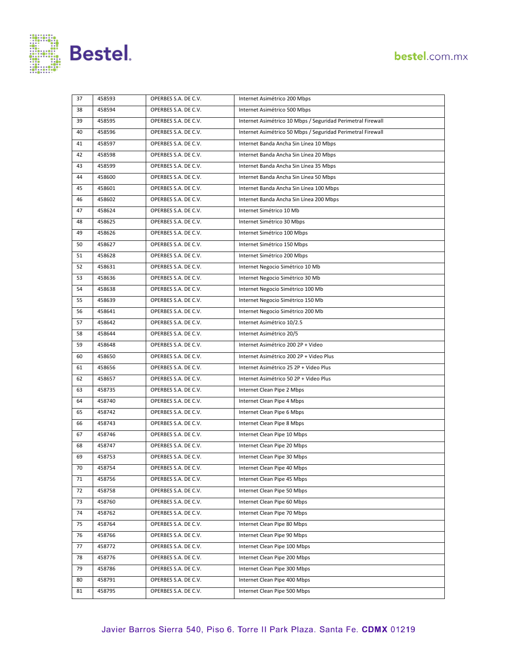

| 37 | 458593 | OPERBES S.A. DE C.V. | Internet Asimétrico 200 Mbps                                |
|----|--------|----------------------|-------------------------------------------------------------|
| 38 | 458594 | OPERBES S.A. DE C.V. | Internet Asimétrico 500 Mbps                                |
| 39 | 458595 | OPERBES S.A. DE C.V. | Internet Asimétrico 10 Mbps / Seguridad Perimetral Firewall |
| 40 | 458596 | OPERBES S.A. DE C.V. | Internet Asimétrico 50 Mbps / Seguridad Perimetral Firewall |
| 41 | 458597 | OPERBES S.A. DE C.V. | Internet Banda Ancha Sin Línea 10 Mbps                      |
| 42 | 458598 | OPERBES S.A. DE C.V. | Internet Banda Ancha Sin Línea 20 Mbps                      |
| 43 | 458599 | OPERBES S.A. DE C.V. | Internet Banda Ancha Sin Línea 35 Mbps                      |
| 44 | 458600 | OPERBES S.A. DE C.V. | Internet Banda Ancha Sin Línea 50 Mbps                      |
| 45 | 458601 | OPERBES S.A. DE C.V. | Internet Banda Ancha Sin Línea 100 Mbps                     |
| 46 | 458602 | OPERBES S.A. DE C.V. | Internet Banda Ancha Sin Línea 200 Mbps                     |
| 47 | 458624 | OPERBES S.A. DE C.V. | Internet Simétrico 10 Mb                                    |
| 48 | 458625 | OPERBES S.A. DE C.V. | Internet Simétrico 30 Mbps                                  |
| 49 | 458626 | OPERBES S.A. DE C.V. | Internet Simétrico 100 Mbps                                 |
| 50 | 458627 | OPERBES S.A. DE C.V. | Internet Simétrico 150 Mbps                                 |
| 51 | 458628 | OPERBES S.A. DE C.V. | Internet Simétrico 200 Mbps                                 |
| 52 | 458631 | OPERBES S.A. DE C.V. | Internet Negocio Simétrico 10 Mb                            |
| 53 | 458636 | OPERBES S.A. DE C.V. | Internet Negocio Simétrico 30 Mb                            |
| 54 | 458638 | OPERBES S.A. DE C.V. | Internet Negocio Simétrico 100 Mb                           |
| 55 | 458639 | OPERBES S.A. DE C.V. | Internet Negocio Simétrico 150 Mb                           |
| 56 | 458641 | OPERBES S.A. DE C.V. | Internet Negocio Simétrico 200 Mb                           |
| 57 | 458642 | OPERBES S.A. DE C.V. | Internet Asimétrico 10/2.5                                  |
| 58 | 458644 | OPERBES S.A. DE C.V. | Internet Asimétrico 20/5                                    |
| 59 | 458648 | OPERBES S.A. DE C.V. | Internet Asimétrico 200 2P + Video                          |
| 60 | 458650 | OPERBES S.A. DE C.V. | Internet Asimétrico 200 2P + Video Plus                     |
| 61 | 458656 | OPERBES S.A. DE C.V. | Internet Asimétrico 25 2P + Video Plus                      |
| 62 | 458657 | OPERBES S.A. DE C.V. | Internet Asimétrico 50 2P + Video Plus                      |
| 63 | 458735 | OPERBES S.A. DE C.V. | Internet Clean Pipe 2 Mbps                                  |
| 64 | 458740 | OPERBES S.A. DE C.V. | Internet Clean Pipe 4 Mbps                                  |
| 65 | 458742 | OPERBES S.A. DE C.V. | Internet Clean Pipe 6 Mbps                                  |
| 66 | 458743 | OPERBES S.A. DE C.V. | Internet Clean Pipe 8 Mbps                                  |
| 67 | 458746 | OPERBES S.A. DE C.V. | Internet Clean Pipe 10 Mbps                                 |
| 68 | 458747 | OPERBES S.A. DE C.V. | Internet Clean Pipe 20 Mbps                                 |
| 69 | 458753 | OPERBES S.A. DE C.V. | Internet Clean Pipe 30 Mbps                                 |
| 70 | 458754 | OPERBES S.A. DE C.V. | Internet Clean Pipe 40 Mbps                                 |
| 71 | 458756 | OPERBES S.A. DE C.V. | Internet Clean Pipe 45 Mbps                                 |
| 72 | 458758 | OPERBES S.A. DE C.V. | Internet Clean Pipe 50 Mbps                                 |
| 73 | 458760 | OPERBES S.A. DE C.V. | Internet Clean Pipe 60 Mbps                                 |
| 74 | 458762 | OPERBES S.A. DE C.V. | Internet Clean Pipe 70 Mbps                                 |
| 75 | 458764 | OPERBES S.A. DE C.V. | Internet Clean Pipe 80 Mbps                                 |
| 76 | 458766 | OPERBES S.A. DE C.V. | Internet Clean Pipe 90 Mbps                                 |
| 77 | 458772 | OPERBES S.A. DE C.V. | Internet Clean Pipe 100 Mbps                                |
| 78 | 458776 | OPERBES S.A. DE C.V. | Internet Clean Pipe 200 Mbps                                |
| 79 | 458786 | OPERBES S.A. DE C.V. | Internet Clean Pipe 300 Mbps                                |
| 80 | 458791 | OPERBES S.A. DE C.V. | Internet Clean Pipe 400 Mbps                                |
| 81 | 458795 | OPERBES S.A. DE C.V. | Internet Clean Pipe 500 Mbps                                |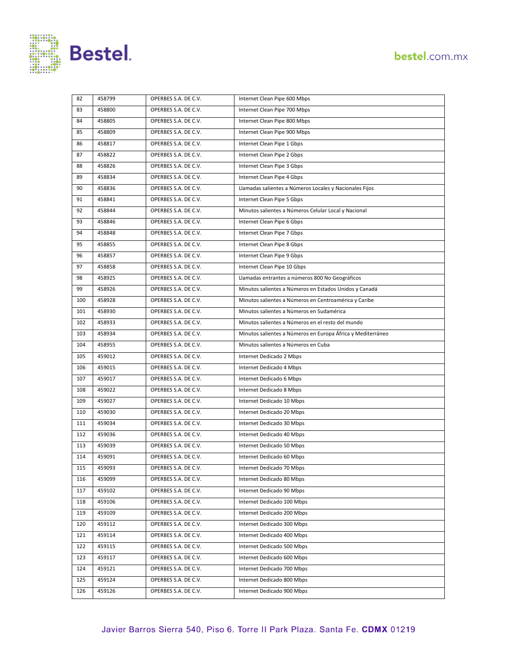

| 82  | 458799 | OPERBES S.A. DE C.V. | Internet Clean Pipe 600 Mbps                                |
|-----|--------|----------------------|-------------------------------------------------------------|
| 83  | 458800 | OPERBES S.A. DE C.V. | Internet Clean Pipe 700 Mbps                                |
| 84  | 458805 | OPERBES S.A. DE C.V. | Internet Clean Pipe 800 Mbps                                |
| 85  | 458809 | OPERBES S.A. DE C.V. | Internet Clean Pipe 900 Mbps                                |
| 86  | 458817 | OPERBES S.A. DE C.V. | Internet Clean Pipe 1 Gbps                                  |
| 87  | 458822 | OPERBES S.A. DE C.V. | Internet Clean Pipe 2 Gbps                                  |
| 88  | 458826 | OPERBES S.A. DE C.V. | Internet Clean Pipe 3 Gbps                                  |
| 89  | 458834 | OPERBES S.A. DE C.V. | Internet Clean Pipe 4 Gbps                                  |
| 90  | 458836 | OPERBES S.A. DE C.V. | Llamadas salientes a Números Locales y Nacionales Fijos     |
| 91  | 458841 | OPERBES S.A. DE C.V. | Internet Clean Pipe 5 Gbps                                  |
| 92  | 458844 | OPERBES S.A. DE C.V. | Minutos salientes a Números Celular Local y Nacional        |
| 93  | 458846 | OPERBES S.A. DE C.V. | Internet Clean Pipe 6 Gbps                                  |
| 94  | 458848 | OPERBES S.A. DE C.V. | Internet Clean Pipe 7 Gbps                                  |
| 95  | 458855 | OPERBES S.A. DE C.V. | Internet Clean Pipe 8 Gbps                                  |
| 96  | 458857 | OPERBES S.A. DE C.V. | Internet Clean Pipe 9 Gbps                                  |
| 97  | 458858 | OPERBES S.A. DE C.V. | Internet Clean Pipe 10 Gbps                                 |
| 98  | 458925 | OPERBES S.A. DE C.V. | Llamadas entrantes a números 800 No Geográficos             |
| 99  | 458926 | OPERBES S.A. DE C.V. | Minutos salientes a Números en Estados Unidos y Canadá      |
| 100 | 458928 | OPERBES S.A. DE C.V. | Minutos salientes a Números en Centroamérica y Caribe       |
| 101 | 458930 | OPERBES S.A. DE C.V. | Minutos salientes a Números en Sudamérica                   |
| 102 | 458933 | OPERBES S.A. DE C.V. | Minutos salientes a Números en el resto del mundo           |
| 103 | 458934 | OPERBES S.A. DE C.V. | Minutos salientes a Números en Europa África y Mediterráneo |
| 104 | 458955 | OPERBES S.A. DE C.V. | Minutos salientes a Números en Cuba                         |
| 105 | 459012 | OPERBES S.A. DE C.V. | Internet Dedicado 2 Mbps                                    |
| 106 | 459015 | OPERBES S.A. DE C.V. | Internet Dedicado 4 Mbps                                    |
| 107 | 459017 | OPERBES S.A. DE C.V. | Internet Dedicado 6 Mbps                                    |
| 108 | 459022 | OPERBES S.A. DE C.V. | Internet Dedicado 8 Mbps                                    |
| 109 | 459027 | OPERBES S.A. DE C.V. | Internet Dedicado 10 Mbps                                   |
| 110 | 459030 | OPERBES S.A. DE C.V. | Internet Dedicado 20 Mbps                                   |
| 111 | 459034 | OPERBES S.A. DE C.V. | Internet Dedicado 30 Mbps                                   |
| 112 | 459036 | OPERBES S.A. DE C.V. | Internet Dedicado 40 Mbps                                   |
| 113 | 459039 | OPERBES S.A. DE C.V. | Internet Dedicado 50 Mbps                                   |
| 114 | 459091 | OPERBES S.A. DE C.V. | Internet Dedicado 60 Mbps                                   |
| 115 | 459093 | OPERBES S.A. DE C.V. | Internet Dedicado 70 Mbps                                   |
| 116 | 459099 | OPERBES S.A. DE C.V. | Internet Dedicado 80 Mbps                                   |
| 117 | 459102 | OPERBES S.A. DE C.V. | Internet Dedicado 90 Mbps                                   |
| 118 | 459106 | OPERBES S.A. DE C.V. | Internet Dedicado 100 Mbps                                  |
| 119 | 459109 | OPERBES S.A. DE C.V. | Internet Dedicado 200 Mbps                                  |
| 120 | 459112 | OPERBES S.A. DE C.V. | Internet Dedicado 300 Mbps                                  |
| 121 | 459114 | OPERBES S.A. DE C.V. | Internet Dedicado 400 Mbps                                  |
| 122 | 459115 | OPERBES S.A. DE C.V. | Internet Dedicado 500 Mbps                                  |
| 123 | 459117 | OPERBES S.A. DE C.V. | Internet Dedicado 600 Mbps                                  |
| 124 | 459121 | OPERBES S.A. DE C.V. | Internet Dedicado 700 Mbps                                  |
| 125 | 459124 | OPERBES S.A. DE C.V. | Internet Dedicado 800 Mbps                                  |
| 126 | 459126 | OPERBES S.A. DE C.V. | Internet Dedicado 900 Mbps                                  |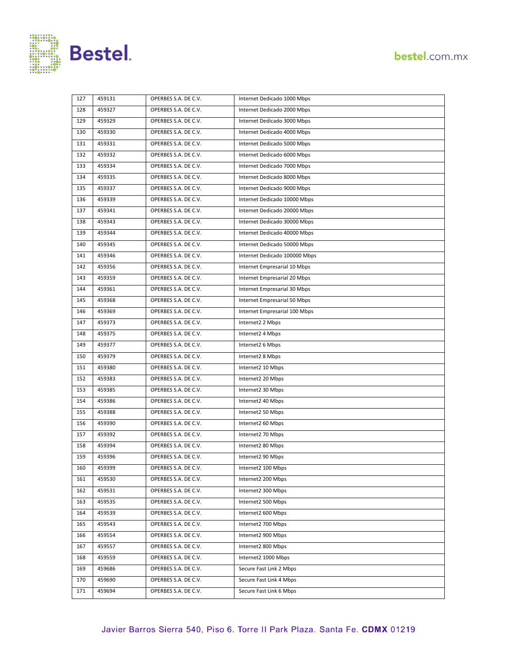

| 127 | 459131 | OPERBES S.A. DE C.V. | Internet Dedicado 1000 Mbps   |  |
|-----|--------|----------------------|-------------------------------|--|
| 128 | 459327 | OPERBES S.A. DE C.V. | Internet Dedicado 2000 Mbps   |  |
| 129 | 459329 | OPERBES S.A. DE C.V. | Internet Dedicado 3000 Mbps   |  |
| 130 | 459330 | OPERBES S.A. DE C.V. | Internet Dedicado 4000 Mbps   |  |
| 131 | 459331 | OPERBES S.A. DE C.V. | Internet Dedicado 5000 Mbps   |  |
| 132 | 459332 | OPERBES S.A. DE C.V. | Internet Dedicado 6000 Mbps   |  |
| 133 | 459334 | OPERBES S.A. DE C.V. | Internet Dedicado 7000 Mbps   |  |
| 134 | 459335 | OPERBES S.A. DE C.V. | Internet Dedicado 8000 Mbps   |  |
| 135 | 459337 | OPERBES S.A. DE C.V. | Internet Dedicado 9000 Mbps   |  |
| 136 | 459339 | OPERBES S.A. DE C.V. | Internet Dedicado 10000 Mbps  |  |
| 137 | 459341 | OPERBES S.A. DE C.V. | Internet Dedicado 20000 Mbps  |  |
| 138 | 459343 | OPERBES S.A. DE C.V. | Internet Dedicado 30000 Mbps  |  |
| 139 | 459344 | OPERBES S.A. DE C.V. | Internet Dedicado 40000 Mbps  |  |
| 140 | 459345 | OPERBES S.A. DE C.V. | Internet Dedicado 50000 Mbps  |  |
| 141 | 459346 | OPERBES S.A. DE C.V. | Internet Dedicado 100000 Mbps |  |
| 142 | 459356 | OPERBES S.A. DE C.V. | Internet Empresarial 10 Mbps  |  |
| 143 | 459359 | OPERBES S.A. DE C.V. | Internet Empresarial 20 Mbps  |  |
| 144 | 459361 | OPERBES S.A. DE C.V. | Internet Empresarial 30 Mbps  |  |
| 145 | 459368 | OPERBES S.A. DE C.V. | Internet Empresarial 50 Mbps  |  |
| 146 | 459369 | OPERBES S.A. DE C.V. | Internet Empresarial 100 Mbps |  |
| 147 | 459373 | OPERBES S.A. DE C.V. | Internet2 2 Mbps              |  |
| 148 | 459375 | OPERBES S.A. DE C.V. | Internet2 4 Mbps              |  |
| 149 | 459377 | OPERBES S.A. DE C.V. | Internet2 6 Mbps              |  |
| 150 | 459379 | OPERBES S.A. DE C.V. | Internet2 8 Mbps              |  |
| 151 | 459380 | OPERBES S.A. DE C.V. | Internet2 10 Mbps             |  |
| 152 | 459383 | OPERBES S.A. DE C.V. | Internet2 20 Mbps             |  |
| 153 | 459385 | OPERBES S.A. DE C.V. | Internet2 30 Mbps             |  |
| 154 | 459386 | OPERBES S.A. DE C.V. | Internet2 40 Mbps             |  |
| 155 | 459388 | OPERBES S.A. DE C.V. | Internet2 50 Mbps             |  |
| 156 | 459390 | OPERBES S.A. DE C.V. | Internet2 60 Mbps             |  |
| 157 | 459392 | OPERBES S.A. DE C.V. | Internet2 70 Mbps             |  |
| 158 | 459394 | OPERBES S.A. DE C.V. | Internet2 80 Mbps             |  |
| 159 | 459396 | OPERBES S.A. DE C.V. | Internet2 90 Mbps             |  |
| 160 | 459399 | OPERBES S.A. DE C.V. | Internet2 100 Mbps            |  |
| 161 | 459530 | OPERBES S.A. DE C.V. | Internet2 200 Mbps            |  |
| 162 | 459531 | OPERBES S.A. DE C.V. | Internet2 300 Mbps            |  |
| 163 | 459535 | OPERBES S.A. DE C.V. | Internet2 500 Mbps            |  |
| 164 | 459539 | OPERBES S.A. DE C.V. | Internet2 600 Mbps            |  |
| 165 | 459543 | OPERBES S.A. DE C.V. | Internet2 700 Mbps            |  |
| 166 | 459554 | OPERBES S.A. DE C.V. | Internet2 900 Mbps            |  |
| 167 | 459557 | OPERBES S.A. DE C.V. | Internet2 800 Mbps            |  |
| 168 | 459559 | OPERBES S.A. DE C.V. | Internet2 1000 Mbps           |  |
| 169 | 459686 | OPERBES S.A. DE C.V. | Secure Fast Link 2 Mbps       |  |
| 170 | 459690 | OPERBES S.A. DE C.V. | Secure Fast Link 4 Mbps       |  |
| 171 | 459694 | OPERBES S.A. DE C.V. | Secure Fast Link 6 Mbps       |  |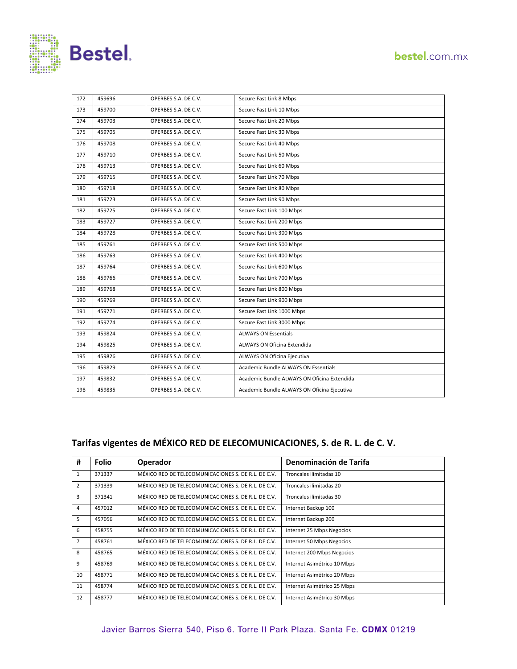

| 172 | 459696 | OPERBES S.A. DE C.V. | Secure Fast Link 8 Mbps                     |
|-----|--------|----------------------|---------------------------------------------|
| 173 | 459700 | OPERBES S.A. DE C.V. | Secure Fast Link 10 Mbps                    |
| 174 | 459703 | OPERBES S.A. DE C.V. | Secure Fast Link 20 Mbps                    |
| 175 | 459705 | OPERBES S.A. DE C.V. | Secure Fast Link 30 Mbps                    |
| 176 | 459708 | OPERBES S.A. DE C.V. | Secure Fast Link 40 Mbps                    |
| 177 | 459710 | OPERBES S.A. DE C.V. | Secure Fast Link 50 Mbps                    |
| 178 | 459713 | OPERBES S.A. DE C.V. | Secure Fast Link 60 Mbps                    |
| 179 | 459715 | OPERBES S.A. DE C.V. | Secure Fast Link 70 Mbps                    |
| 180 | 459718 | OPERBES S.A. DE C.V. | Secure Fast Link 80 Mbps                    |
| 181 | 459723 | OPERBES S.A. DE C.V. | Secure Fast Link 90 Mbps                    |
| 182 | 459725 | OPERBES S.A. DE C.V. | Secure Fast Link 100 Mbps                   |
| 183 | 459727 | OPERBES S.A. DE C.V. | Secure Fast Link 200 Mbps                   |
| 184 | 459728 | OPERBES S.A. DE C.V. | Secure Fast Link 300 Mbps                   |
| 185 | 459761 | OPERBES S.A. DE C.V. | Secure Fast Link 500 Mbps                   |
| 186 | 459763 | OPERBES S.A. DE C.V. | Secure Fast Link 400 Mbps                   |
| 187 | 459764 | OPERBES S.A. DE C.V. | Secure Fast Link 600 Mbps                   |
| 188 | 459766 | OPERBES S.A. DE C.V. | Secure Fast Link 700 Mbps                   |
| 189 | 459768 | OPERBES S.A. DE C.V. | Secure Fast Link 800 Mbps                   |
| 190 | 459769 | OPERBES S.A. DE C.V. | Secure Fast Link 900 Mbps                   |
| 191 | 459771 | OPERBES S.A. DE C.V. | Secure Fast Link 1000 Mbps                  |
| 192 | 459774 | OPERBES S.A. DE C.V. | Secure Fast Link 3000 Mbps                  |
| 193 | 459824 | OPERBES S.A. DE C.V. | <b>ALWAYS ON Essentials</b>                 |
| 194 | 459825 | OPERBES S.A. DE C.V. | ALWAYS ON Oficina Extendida                 |
| 195 | 459826 | OPERBES S.A. DE C.V. | ALWAYS ON Oficina Ejecutiva                 |
| 196 | 459829 | OPERBES S.A. DE C.V. | Academic Bundle ALWAYS ON Essentials        |
| 197 | 459832 | OPERBES S.A. DE C.V. | Academic Bundle ALWAYS ON Oficina Extendida |
| 198 | 459835 | OPERBES S.A. DE C.V. | Academic Bundle ALWAYS ON Oficina Ejecutiva |

#### **Tarifas vigentes de MÉXICO RED DE ELECOMUNICACIONES, S. de R. L. de C. V.**

| #              | <b>Folio</b> | <b>Operador</b>                                     | Denominación de Tarifa      |
|----------------|--------------|-----------------------------------------------------|-----------------------------|
| $\mathbf{1}$   | 371337       | MÉXICO RED DE TELECOMUNICACIONES S. DE R.L. DE C.V. | Troncales ilimitadas 10     |
| 2              | 371339       | MÉXICO RED DE TELECOMUNICACIONES S. DE R.L. DE C.V. | Troncales ilimitadas 20     |
| 3              | 371341       | MÉXICO RED DE TELECOMUNICACIONES S. DE R.L. DE C.V. | Troncales ilimitadas 30     |
| 4              | 457012       | MÉXICO RED DE TELECOMUNICACIONES S. DE R.L. DE C.V. | Internet Backup 100         |
| 5              | 457056       | MÉXICO RED DE TELECOMUNICACIONES S. DE R.L. DE C.V. | Internet Backup 200         |
| 6              | 458755       | MÉXICO RED DE TELECOMUNICACIONES S. DE R.L. DE C.V. | Internet 25 Mbps Negocios   |
| $\overline{7}$ | 458761       | MÉXICO RED DE TELECOMUNICACIONES S. DE R.L. DE C.V. | Internet 50 Mbps Negocios   |
| 8              | 458765       | MÉXICO RED DE TELECOMUNICACIONES S. DE R.L. DE C.V. | Internet 200 Mbps Negocios  |
| 9              | 458769       | MÉXICO RED DE TELECOMUNICACIONES S. DE R.L. DE C.V. | Internet Asimétrico 10 Mbps |
| 10             | 458771       | MÉXICO RED DE TELECOMUNICACIONES S. DE R.L. DE C.V. | Internet Asimétrico 20 Mbps |
| 11             | 458774       | MÉXICO RED DE TELECOMUNICACIONES S. DE R.L. DE C.V. | Internet Asimétrico 25 Mbps |
| 12             | 458777       | MÉXICO RED DE TELECOMUNICACIONES S. DE R.L. DE C.V. | Internet Asimétrico 30 Mbps |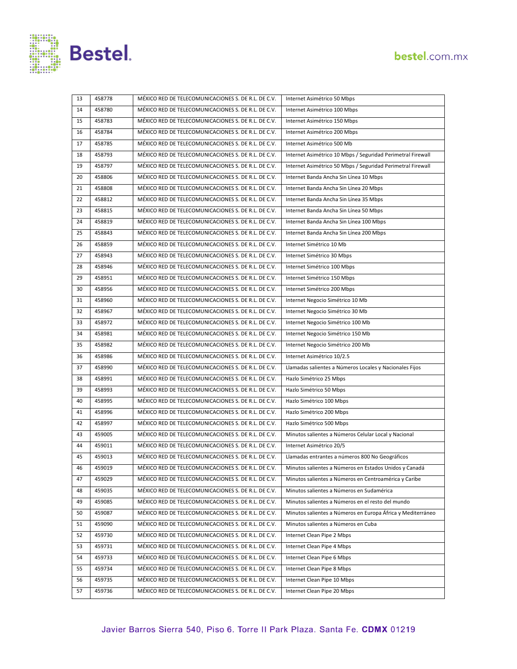



| 13 | 458778 | MÉXICO RED DE TELECOMUNICACIONES S. DE R.L. DE C.V. | Internet Asimétrico 50 Mbps                                 |
|----|--------|-----------------------------------------------------|-------------------------------------------------------------|
| 14 | 458780 | MÉXICO RED DE TELECOMUNICACIONES S. DE R.L. DE C.V. | Internet Asimétrico 100 Mbps                                |
| 15 | 458783 | MÉXICO RED DE TELECOMUNICACIONES S. DE R.L. DE C.V. | Internet Asimétrico 150 Mbps                                |
| 16 | 458784 | MÉXICO RED DE TELECOMUNICACIONES S. DE R.L. DE C.V. | Internet Asimétrico 200 Mbps                                |
| 17 | 458785 | MÉXICO RED DE TELECOMUNICACIONES S. DE R.L. DE C.V. | Internet Asimétrico 500 Mb                                  |
| 18 | 458793 | MÉXICO RED DE TELECOMUNICACIONES S. DE R.L. DE C.V. | Internet Asimétrico 10 Mbps / Seguridad Perimetral Firewall |
| 19 | 458797 | MÉXICO RED DE TELECOMUNICACIONES S. DE R.L. DE C.V. | Internet Asimétrico 50 Mbps / Seguridad Perimetral Firewall |
| 20 | 458806 | MÉXICO RED DE TELECOMUNICACIONES S. DE R.L. DE C.V. | Internet Banda Ancha Sin Línea 10 Mbps                      |
| 21 | 458808 | MÉXICO RED DE TELECOMUNICACIONES S. DE R.L. DE C.V. | Internet Banda Ancha Sin Línea 20 Mbps                      |
| 22 | 458812 | MÉXICO RED DE TELECOMUNICACIONES S. DE R.L. DE C.V. | Internet Banda Ancha Sin Línea 35 Mbps                      |
| 23 | 458815 | MÉXICO RED DE TELECOMUNICACIONES S. DE R.L. DE C.V. | Internet Banda Ancha Sin Línea 50 Mbps                      |
| 24 | 458819 | MÉXICO RED DE TELECOMUNICACIONES S. DE R.L. DE C.V. | Internet Banda Ancha Sin Línea 100 Mbps                     |
| 25 | 458843 | MÉXICO RED DE TELECOMUNICACIONES S. DE R.L. DE C.V. | Internet Banda Ancha Sin Línea 200 Mbps                     |
| 26 | 458859 | MÉXICO RED DE TELECOMUNICACIONES S. DE R.L. DE C.V. | Internet Simétrico 10 Mb                                    |
| 27 | 458943 | MÉXICO RED DE TELECOMUNICACIONES S. DE R.L. DE C.V. | Internet Simétrico 30 Mbps                                  |
| 28 | 458946 | MÉXICO RED DE TELECOMUNICACIONES S. DE R.L. DE C.V. | Internet Simétrico 100 Mbps                                 |
| 29 | 458951 | MÉXICO RED DE TELECOMUNICACIONES S. DE R.L. DE C.V. | Internet Simétrico 150 Mbps                                 |
| 30 | 458956 | MÉXICO RED DE TELECOMUNICACIONES S. DE R.L. DE C.V. | Internet Simétrico 200 Mbps                                 |
| 31 | 458960 | MÉXICO RED DE TELECOMUNICACIONES S. DE R.L. DE C.V. | Internet Negocio Simétrico 10 Mb                            |
| 32 | 458967 | MÉXICO RED DE TELECOMUNICACIONES S. DE R.L. DE C.V. | Internet Negocio Simétrico 30 Mb                            |
| 33 | 458972 | MÉXICO RED DE TELECOMUNICACIONES S. DE R.L. DE C.V. | Internet Negocio Simétrico 100 Mb                           |
| 34 | 458981 | MÉXICO RED DE TELECOMUNICACIONES S. DE R.L. DE C.V. | Internet Negocio Simétrico 150 Mb                           |
| 35 | 458982 | MÉXICO RED DE TELECOMUNICACIONES S. DE R.L. DE C.V. | Internet Negocio Simétrico 200 Mb                           |
| 36 | 458986 | MÉXICO RED DE TELECOMUNICACIONES S. DE R.L. DE C.V. | Internet Asimétrico 10/2.5                                  |
| 37 | 458990 | MÉXICO RED DE TELECOMUNICACIONES S. DE R.L. DE C.V. | Llamadas salientes a Números Locales y Nacionales Fijos     |
| 38 | 458991 | MÉXICO RED DE TELECOMUNICACIONES S. DE R.L. DE C.V. | Hazlo Simétrico 25 Mbps                                     |
| 39 | 458993 | MÉXICO RED DE TELECOMUNICACIONES S. DE R.L. DE C.V. | Hazlo Simétrico 50 Mbps                                     |
| 40 | 458995 | MÉXICO RED DE TELECOMUNICACIONES S. DE R.L. DE C.V. | Hazlo Simétrico 100 Mbps                                    |
| 41 | 458996 | MÉXICO RED DE TELECOMUNICACIONES S. DE R.L. DE C.V. | Hazlo Simétrico 200 Mbps                                    |
| 42 | 458997 | MÉXICO RED DE TELECOMUNICACIONES S. DE R.L. DE C.V. | Hazlo Simétrico 500 Mbps                                    |
| 43 | 459005 | MÉXICO RED DE TELECOMUNICACIONES S. DE R.L. DE C.V. | Minutos salientes a Números Celular Local y Nacional        |
| 44 | 459011 | MÉXICO RED DE TELECOMUNICACIONES S. DE R.L. DE C.V. | Internet Asimétrico 20/5                                    |
| 45 | 459013 | MÉXICO RED DE TELECOMUNICACIONES S. DE R.L. DE C.V. | Llamadas entrantes a números 800 No Geográficos             |
| 46 | 459019 | MÉXICO RED DE TELECOMUNICACIONES S. DE R.L. DE C.V. | Minutos salientes a Números en Estados Unidos y Canadá      |
| 47 | 459029 | MÉXICO RED DE TELECOMUNICACIONES S. DE R.L. DE C.V. | Minutos salientes a Números en Centroamérica y Caribe       |
| 48 | 459035 | MÉXICO RED DE TELECOMUNICACIONES S. DE R.L. DE C.V. | Minutos salientes a Números en Sudamérica                   |
| 49 | 459085 | MÉXICO RED DE TELECOMUNICACIONES S. DE R.L. DE C.V. | Minutos salientes a Números en el resto del mundo           |
| 50 | 459087 | MÉXICO RED DE TELECOMUNICACIONES S. DE R.L. DE C.V. | Minutos salientes a Números en Europa África y Mediterráneo |
| 51 | 459090 | MÉXICO RED DE TELECOMUNICACIONES S. DE R.L. DE C.V. | Minutos salientes a Números en Cuba                         |
| 52 | 459730 | MÉXICO RED DE TELECOMUNICACIONES S. DE R.L. DE C.V. | Internet Clean Pipe 2 Mbps                                  |
| 53 | 459731 | MÉXICO RED DE TELECOMUNICACIONES S. DE R.L. DE C.V. | Internet Clean Pipe 4 Mbps                                  |
| 54 | 459733 | MÉXICO RED DE TELECOMUNICACIONES S. DE R.L. DE C.V. | Internet Clean Pipe 6 Mbps                                  |
| 55 | 459734 | MÉXICO RED DE TELECOMUNICACIONES S. DE R.L. DE C.V. | Internet Clean Pipe 8 Mbps                                  |
| 56 | 459735 | MÉXICO RED DE TELECOMUNICACIONES S. DE R.L. DE C.V. | Internet Clean Pipe 10 Mbps                                 |
| 57 | 459736 | MÉXICO RED DE TELECOMUNICACIONES S. DE R.L. DE C.V. | Internet Clean Pipe 20 Mbps                                 |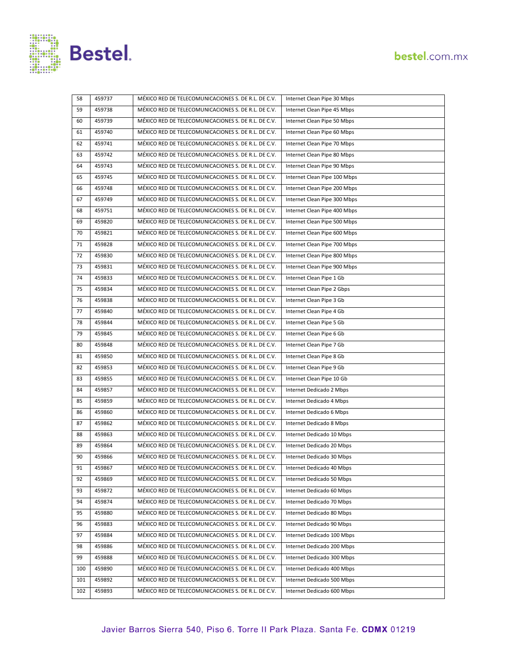



| 58  | 459737 | MÉXICO RED DE TELECOMUNICACIONES S. DE R.L. DE C.V. | Internet Clean Pipe 30 Mbps  |
|-----|--------|-----------------------------------------------------|------------------------------|
| 59  | 459738 | MÉXICO RED DE TELECOMUNICACIONES S. DE R.L. DE C.V. | Internet Clean Pipe 45 Mbps  |
| 60  | 459739 | MÉXICO RED DE TELECOMUNICACIONES S. DE R.L. DE C.V. | Internet Clean Pipe 50 Mbps  |
| 61  | 459740 | MÉXICO RED DE TELECOMUNICACIONES S. DE R.L. DE C.V. | Internet Clean Pipe 60 Mbps  |
| 62  | 459741 | MÉXICO RED DE TELECOMUNICACIONES S. DE R.L. DE C.V. | Internet Clean Pipe 70 Mbps  |
| 63  | 459742 | MÉXICO RED DE TELECOMUNICACIONES S. DE R.L. DE C.V. | Internet Clean Pipe 80 Mbps  |
| 64  | 459743 | MÉXICO RED DE TELECOMUNICACIONES S. DE R.L. DE C.V. | Internet Clean Pipe 90 Mbps  |
| 65  | 459745 | MÉXICO RED DE TELECOMUNICACIONES S. DE R.L. DE C.V. | Internet Clean Pipe 100 Mbps |
| 66  | 459748 | MÉXICO RED DE TELECOMUNICACIONES S. DE R.L. DE C.V. | Internet Clean Pipe 200 Mbps |
| 67  | 459749 | MÉXICO RED DE TELECOMUNICACIONES S. DE R.L. DE C.V. | Internet Clean Pipe 300 Mbps |
| 68  | 459751 | MÉXICO RED DE TELECOMUNICACIONES S. DE R.L. DE C.V. | Internet Clean Pipe 400 Mbps |
| 69  | 459820 | MÉXICO RED DE TELECOMUNICACIONES S. DE R.L. DE C.V. | Internet Clean Pipe 500 Mbps |
| 70  | 459821 | MÉXICO RED DE TELECOMUNICACIONES S. DE R.L. DE C.V. | Internet Clean Pipe 600 Mbps |
| 71  | 459828 | MÉXICO RED DE TELECOMUNICACIONES S. DE R.L. DE C.V. | Internet Clean Pipe 700 Mbps |
| 72  | 459830 | MÉXICO RED DE TELECOMUNICACIONES S. DE R.L. DE C.V. | Internet Clean Pipe 800 Mbps |
| 73  | 459831 | MÉXICO RED DE TELECOMUNICACIONES S. DE R.L. DE C.V. | Internet Clean Pipe 900 Mbps |
| 74  | 459833 | MÉXICO RED DE TELECOMUNICACIONES S. DE R.L. DE C.V. | Internet Clean Pipe 1 Gb     |
| 75  | 459834 | MÉXICO RED DE TELECOMUNICACIONES S. DE R.L. DE C.V. | Internet Clean Pipe 2 Gbps   |
| 76  | 459838 | MÉXICO RED DE TELECOMUNICACIONES S. DE R.L. DE C.V. | Internet Clean Pipe 3 Gb     |
| 77  | 459840 | MÉXICO RED DE TELECOMUNICACIONES S. DE R.L. DE C.V. | Internet Clean Pipe 4 Gb     |
| 78  | 459844 | MÉXICO RED DE TELECOMUNICACIONES S. DE R.L. DE C.V. | Internet Clean Pipe 5 Gb     |
| 79  | 459845 | MÉXICO RED DE TELECOMUNICACIONES S. DE R.L. DE C.V. | Internet Clean Pipe 6 Gb     |
| 80  | 459848 | MÉXICO RED DE TELECOMUNICACIONES S. DE R.L. DE C.V. | Internet Clean Pipe 7 Gb     |
| 81  | 459850 | MÉXICO RED DE TELECOMUNICACIONES S. DE R.L. DE C.V. | Internet Clean Pipe 8 Gb     |
| 82  | 459853 | MÉXICO RED DE TELECOMUNICACIONES S. DE R.L. DE C.V. | Internet Clean Pipe 9 Gb     |
| 83  | 459855 | MÉXICO RED DE TELECOMUNICACIONES S. DE R.L. DE C.V. | Internet Clean Pipe 10 Gb    |
| 84  | 459857 | MÉXICO RED DE TELECOMUNICACIONES S. DE R.L. DE C.V. | Internet Dedicado 2 Mbps     |
| 85  | 459859 | MÉXICO RED DE TELECOMUNICACIONES S. DE R.L. DE C.V. | Internet Dedicado 4 Mbps     |
| 86  | 459860 | MÉXICO RED DE TELECOMUNICACIONES S. DE R.L. DE C.V. | Internet Dedicado 6 Mbps     |
| 87  | 459862 | MÉXICO RED DE TELECOMUNICACIONES S. DE R.L. DE C.V. | Internet Dedicado 8 Mbps     |
| 88  | 459863 | MÉXICO RED DE TELECOMUNICACIONES S. DE R.L. DE C.V. | Internet Dedicado 10 Mbps    |
| 89  | 459864 | MÉXICO RED DE TELECOMUNICACIONES S. DE R.L. DE C.V. | Internet Dedicado 20 Mbps    |
| 90  | 459866 | MÉXICO RED DE TELECOMUNICACIONES S. DE R.L. DE C.V. | Internet Dedicado 30 Mbps    |
| 91  | 459867 | MÉXICO RED DE TELECOMUNICACIONES S. DE R.L. DE C.V. | Internet Dedicado 40 Mbps    |
| 92  | 459869 | MÉXICO RED DE TELECOMUNICACIONES S. DE R.L. DE C.V. | Internet Dedicado 50 Mbps    |
| 93  | 459872 | MÉXICO RED DE TELECOMUNICACIONES S. DE R.L. DE C.V. | Internet Dedicado 60 Mbps    |
| 94  | 459874 | MÉXICO RED DE TELECOMUNICACIONES S. DE R.L. DE C.V. | Internet Dedicado 70 Mbps    |
| 95  | 459880 | MÉXICO RED DE TELECOMUNICACIONES S. DE R.L. DE C.V. | Internet Dedicado 80 Mbps    |
| 96  | 459883 | MÉXICO RED DE TELECOMUNICACIONES S. DE R.L. DE C.V. | Internet Dedicado 90 Mbps    |
| 97  | 459884 | MÉXICO RED DE TELECOMUNICACIONES S. DE R.L. DE C.V. | Internet Dedicado 100 Mbps   |
| 98  | 459886 | MÉXICO RED DE TELECOMUNICACIONES S. DE R.L. DE C.V. | Internet Dedicado 200 Mbps   |
| 99  | 459888 | MÉXICO RED DE TELECOMUNICACIONES S. DE R.L. DE C.V. | Internet Dedicado 300 Mbps   |
| 100 | 459890 | MÉXICO RED DE TELECOMUNICACIONES S. DE R.L. DE C.V. | Internet Dedicado 400 Mbps   |
| 101 | 459892 | MÉXICO RED DE TELECOMUNICACIONES S. DE R.L. DE C.V. | Internet Dedicado 500 Mbps   |
| 102 | 459893 | MÉXICO RED DE TELECOMUNICACIONES S. DE R.L. DE C.V. | Internet Dedicado 600 Mbps   |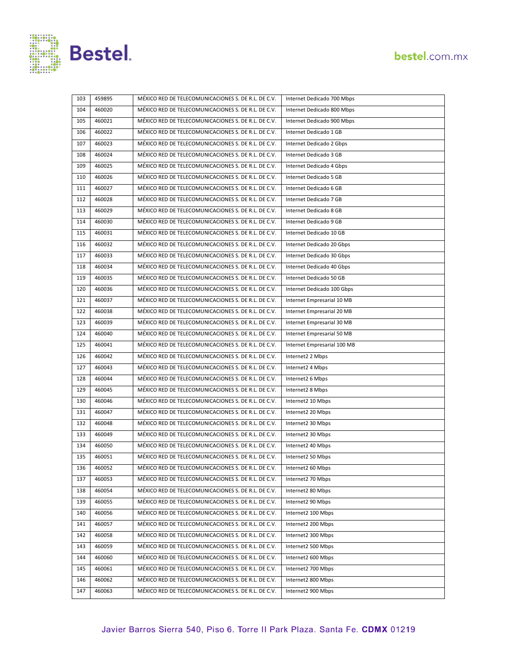



| 103 | 459895 | MÉXICO RED DE TELECOMUNICACIONES S. DE R.L. DE C.V. | Internet Dedicado 700 Mbps  |
|-----|--------|-----------------------------------------------------|-----------------------------|
| 104 | 460020 | MÉXICO RED DE TELECOMUNICACIONES S. DE R.L. DE C.V. | Internet Dedicado 800 Mbps  |
| 105 | 460021 | MÉXICO RED DE TELECOMUNICACIONES S. DE R.L. DE C.V. | Internet Dedicado 900 Mbps  |
| 106 | 460022 | MÉXICO RED DE TELECOMUNICACIONES S. DE R.L. DE C.V. | Internet Dedicado 1 GB      |
| 107 | 460023 | MÉXICO RED DE TELECOMUNICACIONES S. DE R.L. DE C.V. | Internet Dedicado 2 Gbps    |
| 108 | 460024 | MÉXICO RED DE TELECOMUNICACIONES S. DE R.L. DE C.V. | Internet Dedicado 3 GB      |
| 109 | 460025 | MÉXICO RED DE TELECOMUNICACIONES S. DE R.L. DE C.V. | Internet Dedicado 4 Gbps    |
| 110 | 460026 | MÉXICO RED DE TELECOMUNICACIONES S. DE R.L. DE C.V. | Internet Dedicado 5 GB      |
| 111 | 460027 | MÉXICO RED DE TELECOMUNICACIONES S. DE R.L. DE C.V. | Internet Dedicado 6 GB      |
| 112 | 460028 | MÉXICO RED DE TELECOMUNICACIONES S. DE R.L. DE C.V. | Internet Dedicado 7 GB      |
| 113 | 460029 | MÉXICO RED DE TELECOMUNICACIONES S. DE R.L. DE C.V. | Internet Dedicado 8 GB      |
| 114 | 460030 | MÉXICO RED DE TELECOMUNICACIONES S. DE R.L. DE C.V. | Internet Dedicado 9 GB      |
| 115 | 460031 | MÉXICO RED DE TELECOMUNICACIONES S. DE R.L. DE C.V. | Internet Dedicado 10 GB     |
| 116 | 460032 | MÉXICO RED DE TELECOMUNICACIONES S. DE R.L. DE C.V. | Internet Dedicado 20 Gbps   |
| 117 | 460033 | MÉXICO RED DE TELECOMUNICACIONES S. DE R.L. DE C.V. | Internet Dedicado 30 Gbps   |
| 118 | 460034 | MÉXICO RED DE TELECOMUNICACIONES S. DE R.L. DE C.V. | Internet Dedicado 40 Gbps   |
| 119 | 460035 | MÉXICO RED DE TELECOMUNICACIONES S. DE R.L. DE C.V. | Internet Dedicado 50 GB     |
| 120 | 460036 | MÉXICO RED DE TELECOMUNICACIONES S. DE R.L. DE C.V. | Internet Dedicado 100 Gbps  |
| 121 | 460037 | MÉXICO RED DE TELECOMUNICACIONES S. DE R.L. DE C.V. | Internet Empresarial 10 MB  |
| 122 | 460038 | MÉXICO RED DE TELECOMUNICACIONES S. DE R.L. DE C.V. | Internet Empresarial 20 MB  |
| 123 | 460039 | MÉXICO RED DE TELECOMUNICACIONES S. DE R.L. DE C.V. | Internet Empresarial 30 MB  |
| 124 | 460040 | MÉXICO RED DE TELECOMUNICACIONES S. DE R.L. DE C.V. | Internet Empresarial 50 MB  |
| 125 | 460041 | MÉXICO RED DE TELECOMUNICACIONES S. DE R.L. DE C.V. | Internet Empresarial 100 MB |
| 126 | 460042 | MÉXICO RED DE TELECOMUNICACIONES S. DE R.L. DE C.V. | Internet2 2 Mbps            |
| 127 | 460043 | MÉXICO RED DE TELECOMUNICACIONES S. DE R.L. DE C.V. | Internet2 4 Mbps            |
| 128 | 460044 | MÉXICO RED DE TELECOMUNICACIONES S. DE R.L. DE C.V. | Internet2 6 Mbps            |
| 129 | 460045 | MÉXICO RED DE TELECOMUNICACIONES S. DE R.L. DE C.V. | Internet2 8 Mbps            |
| 130 | 460046 | MÉXICO RED DE TELECOMUNICACIONES S. DE R.L. DE C.V. | Internet2 10 Mbps           |
| 131 | 460047 | MÉXICO RED DE TELECOMUNICACIONES S. DE R.L. DE C.V. | Internet2 20 Mbps           |
| 132 | 460048 | MÉXICO RED DE TELECOMUNICACIONES S. DE R.L. DE C.V. | Internet2 30 Mbps           |
| 133 | 460049 | MÉXICO RED DE TELECOMUNICACIONES S. DE R.L. DE C.V. | Internet2 30 Mbps           |
| 134 | 460050 | MÉXICO RED DE TELECOMUNICACIONES S. DE R.L. DE C.V. | Internet2 40 Mbps           |
| 135 | 460051 | MÉXICO RED DE TELECOMUNICACIONES S. DE R.L. DE C.V. | Internet2 50 Mbps           |
| 136 | 460052 | MÉXICO RED DE TELECOMUNICACIONES S. DE R.L. DE C.V. | Internet2 60 Mbps           |
| 137 | 460053 | MÉXICO RED DE TELECOMUNICACIONES S. DE R.L. DE C.V. | Internet2 70 Mbps           |
| 138 | 460054 | MÉXICO RED DE TELECOMUNICACIONES S. DE R.L. DE C.V. | Internet2 80 Mbps           |
| 139 | 460055 | MÉXICO RED DE TELECOMUNICACIONES S. DE R.L. DE C.V. | Internet2 90 Mbps           |
| 140 | 460056 | MÉXICO RED DE TELECOMUNICACIONES S. DE R.L. DE C.V. | Internet2 100 Mbps          |
| 141 | 460057 | MÉXICO RED DE TELECOMUNICACIONES S. DE R.L. DE C.V. | Internet2 200 Mbps          |
| 142 | 460058 | MÉXICO RED DE TELECOMUNICACIONES S. DE R.L. DE C.V. | Internet2 300 Mbps          |
| 143 | 460059 | MÉXICO RED DE TELECOMUNICACIONES S. DE R.L. DE C.V. | Internet2 500 Mbps          |
| 144 | 460060 | MÉXICO RED DE TELECOMUNICACIONES S. DE R.L. DE C.V. | Internet2 600 Mbps          |
| 145 | 460061 | MÉXICO RED DE TELECOMUNICACIONES S. DE R.L. DE C.V. | Internet2 700 Mbps          |
| 146 | 460062 | MÉXICO RED DE TELECOMUNICACIONES S. DE R.L. DE C.V. | Internet2 800 Mbps          |
| 147 | 460063 | MÉXICO RED DE TELECOMUNICACIONES S. DE R.L. DE C.V. | Internet2 900 Mbps          |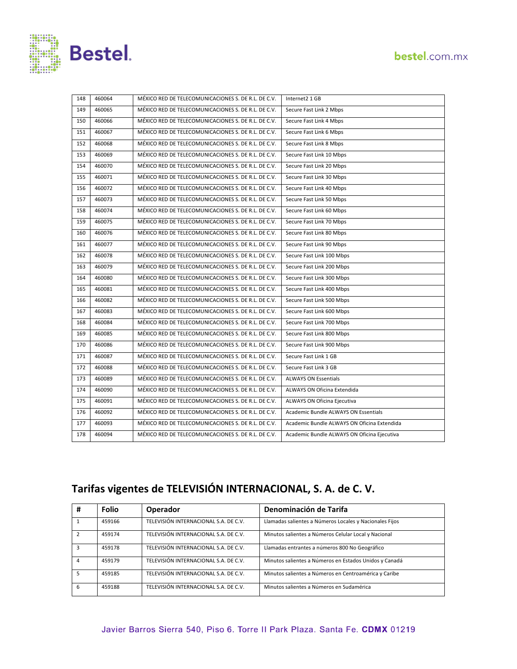

| 148 | 460064 | MÉXICO RED DE TELECOMUNICACIONES S. DE R.L. DE C.V. | Internet2 1 GB                              |
|-----|--------|-----------------------------------------------------|---------------------------------------------|
| 149 | 460065 | MÉXICO RED DE TELECOMUNICACIONES S. DE R.L. DE C.V. | Secure Fast Link 2 Mbps                     |
| 150 | 460066 | MÉXICO RED DE TELECOMUNICACIONES S. DE R.L. DE C.V. | Secure Fast Link 4 Mbps                     |
| 151 | 460067 | MÉXICO RED DE TELECOMUNICACIONES S. DE R.L. DE C.V. | Secure Fast Link 6 Mbps                     |
| 152 | 460068 | MÉXICO RED DE TELECOMUNICACIONES S. DE R.L. DE C.V. | Secure Fast Link 8 Mbps                     |
| 153 | 460069 | MÉXICO RED DE TELECOMUNICACIONES S. DE R.L. DE C.V. | Secure Fast Link 10 Mbps                    |
| 154 | 460070 | MÉXICO RED DE TELECOMUNICACIONES S. DE R.L. DE C.V. | Secure Fast Link 20 Mbps                    |
| 155 | 460071 | MÉXICO RED DE TELECOMUNICACIONES S. DE R.L. DE C.V. | Secure Fast Link 30 Mbps                    |
| 156 | 460072 | MÉXICO RED DE TELECOMUNICACIONES S. DE R.L. DE C.V. | Secure Fast Link 40 Mbps                    |
| 157 | 460073 | MÉXICO RED DE TELECOMUNICACIONES S. DE R.L. DE C.V. | Secure Fast Link 50 Mbps                    |
| 158 | 460074 | MÉXICO RED DE TELECOMUNICACIONES S. DE R.L. DE C.V. | Secure Fast Link 60 Mbps                    |
| 159 | 460075 | MÉXICO RED DE TELECOMUNICACIONES S. DE R.L. DE C.V. | Secure Fast Link 70 Mbps                    |
| 160 | 460076 | MÉXICO RED DE TELECOMUNICACIONES S. DE R.L. DE C.V. | Secure Fast Link 80 Mbps                    |
| 161 | 460077 | MÉXICO RED DE TELECOMUNICACIONES S. DE R.L. DE C.V. | Secure Fast Link 90 Mbps                    |
| 162 | 460078 | MÉXICO RED DE TELECOMUNICACIONES S. DE R.L. DE C.V. | Secure Fast Link 100 Mbps                   |
| 163 | 460079 | MÉXICO RED DE TELECOMUNICACIONES S. DE R.L. DE C.V. | Secure Fast Link 200 Mbps                   |
| 164 | 460080 | MÉXICO RED DE TELECOMUNICACIONES S. DE R.L. DE C.V. | Secure Fast Link 300 Mbps                   |
| 165 | 460081 | MÉXICO RED DE TELECOMUNICACIONES S. DE R.L. DE C.V. | Secure Fast Link 400 Mbps                   |
| 166 | 460082 | MÉXICO RED DE TELECOMUNICACIONES S. DE R.L. DE C.V. | Secure Fast Link 500 Mbps                   |
| 167 | 460083 | MÉXICO RED DE TELECOMUNICACIONES S. DE R.L. DE C.V. | Secure Fast Link 600 Mbps                   |
| 168 | 460084 | MÉXICO RED DE TELECOMUNICACIONES S. DE R.L. DE C.V. | Secure Fast Link 700 Mbps                   |
| 169 | 460085 | MÉXICO RED DE TELECOMUNICACIONES S. DE R.L. DE C.V. | Secure Fast Link 800 Mbps                   |
| 170 | 460086 | MÉXICO RED DE TELECOMUNICACIONES S. DE R.L. DE C.V. | Secure Fast Link 900 Mbps                   |
| 171 | 460087 | MÉXICO RED DE TELECOMUNICACIONES S. DE R.L. DE C.V. | Secure Fast Link 1 GB                       |
| 172 | 460088 | MÉXICO RED DE TELECOMUNICACIONES S. DE R.L. DE C.V. | Secure Fast Link 3 GB                       |
| 173 | 460089 | MÉXICO RED DE TELECOMUNICACIONES S. DE R.L. DE C.V. | <b>ALWAYS ON Essentials</b>                 |
| 174 | 460090 | MÉXICO RED DE TELECOMUNICACIONES S. DE R.L. DE C.V. | ALWAYS ON Oficina Extendida                 |
| 175 | 460091 | MÉXICO RED DE TELECOMUNICACIONES S. DE R.L. DE C.V. | ALWAYS ON Oficina Ejecutiva                 |
| 176 | 460092 | MÉXICO RED DE TELECOMUNICACIONES S. DE R.L. DE C.V. | Academic Bundle ALWAYS ON Essentials        |
| 177 | 460093 | MÉXICO RED DE TELECOMUNICACIONES S. DE R.L. DE C.V. | Academic Bundle ALWAYS ON Oficina Extendida |
| 178 | 460094 | MÉXICO RED DE TELECOMUNICACIONES S. DE R.L. DE C.V. | Academic Bundle ALWAYS ON Oficina Ejecutiva |

## **Tarifas vigentes de TELEVISIÓN INTERNACIONAL, S. A. de C. V.**

| #  | <b>Folio</b> | Operador                              | Denominación de Tarifa                                  |
|----|--------------|---------------------------------------|---------------------------------------------------------|
|    | 459166       | TELEVISIÓN INTERNACIONAL S.A. DE C.V. | Llamadas salientes a Números Locales y Nacionales Fijos |
|    | 459174       | TELEVISIÓN INTERNACIONAL S.A. DE C.V. | Minutos salientes a Números Celular Local y Nacional    |
|    | 459178       | TELEVISIÓN INTERNACIONAL S.A. DE C.V. | Llamadas entrantes a números 800 No Geográfico          |
|    | 459179       | TELEVISIÓN INTERNACIONAL S.A. DE C.V. | Minutos salientes a Números en Estados Unidos y Canadá  |
| -5 | 459185       | TELEVISIÓN INTERNACIONAL S.A. DE C.V. | Minutos salientes a Números en Centroamérica y Caribe   |
| 6  | 459188       | TELEVISIÓN INTERNACIONAL S.A. DE C.V. | Minutos salientes a Números en Sudamérica               |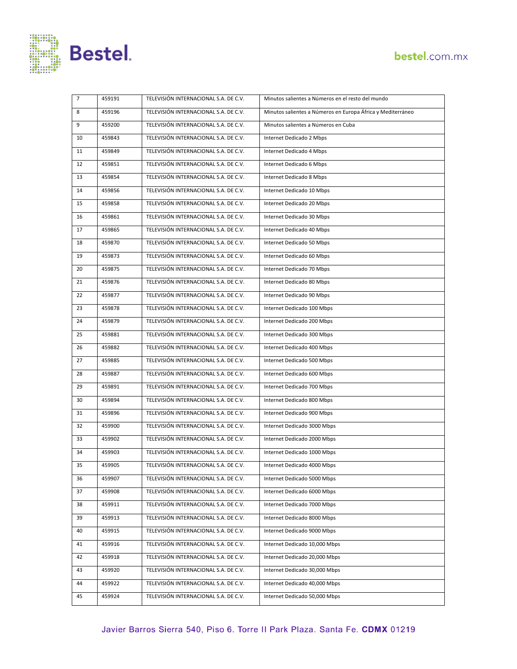

| 7  | 459191 | TELEVISIÓN INTERNACIONAL S.A. DE C.V. | Minutos salientes a Números en el resto del mundo           |
|----|--------|---------------------------------------|-------------------------------------------------------------|
| 8  | 459196 | TELEVISIÓN INTERNACIONAL S.A. DE C.V. | Minutos salientes a Números en Europa África y Mediterráneo |
| 9  | 459200 | TELEVISIÓN INTERNACIONAL S.A. DE C.V. | Minutos salientes a Números en Cuba                         |
| 10 | 459843 | TELEVISIÓN INTERNACIONAL S.A. DE C.V. | Internet Dedicado 2 Mbps                                    |
| 11 | 459849 | TELEVISIÓN INTERNACIONAL S.A. DE C.V. | Internet Dedicado 4 Mbps                                    |
| 12 | 459851 | TELEVISIÓN INTERNACIONAL S.A. DE C.V. | Internet Dedicado 6 Mbps                                    |
| 13 | 459854 | TELEVISIÓN INTERNACIONAL S.A. DE C.V. | Internet Dedicado 8 Mbps                                    |
| 14 | 459856 | TELEVISIÓN INTERNACIONAL S.A. DE C.V. | Internet Dedicado 10 Mbps                                   |
| 15 | 459858 | TELEVISIÓN INTERNACIONAL S.A. DE C.V. | Internet Dedicado 20 Mbps                                   |
| 16 | 459861 | TELEVISIÓN INTERNACIONAL S.A. DE C.V. | Internet Dedicado 30 Mbps                                   |
| 17 | 459865 | TELEVISIÓN INTERNACIONAL S.A. DE C.V. | Internet Dedicado 40 Mbps                                   |
| 18 | 459870 | TELEVISIÓN INTERNACIONAL S.A. DE C.V. | Internet Dedicado 50 Mbps                                   |
| 19 | 459873 | TELEVISIÓN INTERNACIONAL S.A. DE C.V. | Internet Dedicado 60 Mbps                                   |
| 20 | 459875 | TELEVISIÓN INTERNACIONAL S.A. DE C.V. | Internet Dedicado 70 Mbps                                   |
| 21 | 459876 | TELEVISIÓN INTERNACIONAL S.A. DE C.V. | Internet Dedicado 80 Mbps                                   |
| 22 | 459877 | TELEVISIÓN INTERNACIONAL S.A. DE C.V. | Internet Dedicado 90 Mbps                                   |
| 23 | 459878 | TELEVISIÓN INTERNACIONAL S.A. DE C.V. | Internet Dedicado 100 Mbps                                  |
| 24 | 459879 | TELEVISIÓN INTERNACIONAL S.A. DE C.V. | Internet Dedicado 200 Mbps                                  |
| 25 | 459881 | TELEVISIÓN INTERNACIONAL S.A. DE C.V. | Internet Dedicado 300 Mbps                                  |
| 26 | 459882 | TELEVISIÓN INTERNACIONAL S.A. DE C.V. | Internet Dedicado 400 Mbps                                  |
| 27 | 459885 | TELEVISIÓN INTERNACIONAL S.A. DE C.V. | Internet Dedicado 500 Mbps                                  |
| 28 | 459887 | TELEVISIÓN INTERNACIONAL S.A. DE C.V. | Internet Dedicado 600 Mbps                                  |
| 29 | 459891 | TELEVISIÓN INTERNACIONAL S.A. DE C.V. | Internet Dedicado 700 Mbps                                  |
| 30 | 459894 | TELEVISIÓN INTERNACIONAL S.A. DE C.V. | Internet Dedicado 800 Mbps                                  |
| 31 | 459896 | TELEVISIÓN INTERNACIONAL S.A. DE C.V. | Internet Dedicado 900 Mbps                                  |
| 32 | 459900 | TELEVISIÓN INTERNACIONAL S.A. DE C.V. | Internet Dedicado 3000 Mbps                                 |
| 33 | 459902 | TELEVISIÓN INTERNACIONAL S.A. DE C.V. | Internet Dedicado 2000 Mbps                                 |
| 34 | 459903 | TELEVISIÓN INTERNACIONAL S.A. DE C.V. | Internet Dedicado 1000 Mbps                                 |
| 35 | 459905 | TELEVISIÓN INTERNACIONAL S.A. DE C.V. | Internet Dedicado 4000 Mbps                                 |
| 36 | 459907 | TELEVISIÓN INTERNACIONAL S.A. DE C.V. | Internet Dedicado 5000 Mbps                                 |
| 37 | 459908 | TELEVISIÓN INTERNACIONAL S.A. DE C.V. | Internet Dedicado 6000 Mbps                                 |
| 38 | 459911 | TELEVISIÓN INTERNACIONAL S.A. DE C.V. | Internet Dedicado 7000 Mbps                                 |
| 39 | 459913 | TELEVISIÓN INTERNACIONAL S.A. DE C.V. | Internet Dedicado 8000 Mbps                                 |
| 40 | 459915 | TELEVISIÓN INTERNACIONAL S.A. DE C.V. | Internet Dedicado 9000 Mbps                                 |
| 41 | 459916 | TELEVISIÓN INTERNACIONAL S.A. DE C.V. | Internet Dedicado 10,000 Mbps                               |
| 42 | 459918 | TELEVISIÓN INTERNACIONAL S.A. DE C.V. | Internet Dedicado 20,000 Mbps                               |
| 43 | 459920 | TELEVISIÓN INTERNACIONAL S.A. DE C.V. | Internet Dedicado 30,000 Mbps                               |
| 44 | 459922 | TELEVISIÓN INTERNACIONAL S.A. DE C.V. | Internet Dedicado 40,000 Mbps                               |
| 45 | 459924 | TELEVISIÓN INTERNACIONAL S.A. DE C.V. | Internet Dedicado 50,000 Mbps                               |